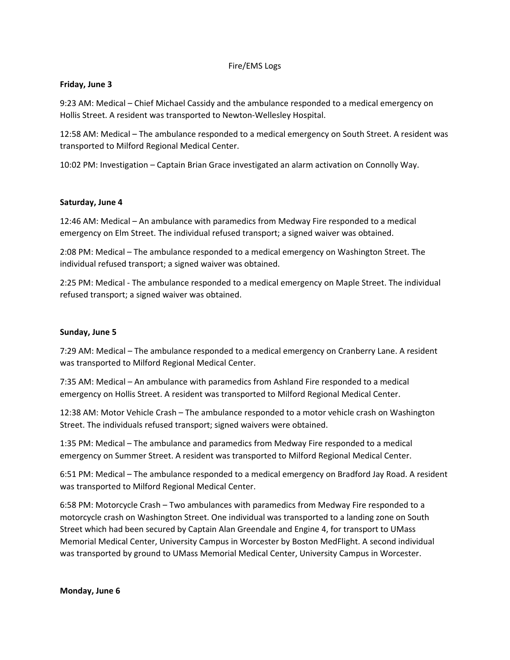## Fire/EMS Logs

### **Friday, June 3**

9:23 AM: Medical – Chief Michael Cassidy and the ambulance responded to a medical emergency on Hollis Street. A resident was transported to Newton‐Wellesley Hospital.

12:58 AM: Medical – The ambulance responded to a medical emergency on South Street. A resident was transported to Milford Regional Medical Center.

10:02 PM: Investigation – Captain Brian Grace investigated an alarm activation on Connolly Way.

## **Saturday, June 4**

12:46 AM: Medical – An ambulance with paramedics from Medway Fire responded to a medical emergency on Elm Street. The individual refused transport; a signed waiver was obtained.

2:08 PM: Medical – The ambulance responded to a medical emergency on Washington Street. The individual refused transport; a signed waiver was obtained.

2:25 PM: Medical ‐ The ambulance responded to a medical emergency on Maple Street. The individual refused transport; a signed waiver was obtained.

## **Sunday, June 5**

7:29 AM: Medical – The ambulance responded to a medical emergency on Cranberry Lane. A resident was transported to Milford Regional Medical Center.

7:35 AM: Medical – An ambulance with paramedics from Ashland Fire responded to a medical emergency on Hollis Street. A resident was transported to Milford Regional Medical Center.

12:38 AM: Motor Vehicle Crash – The ambulance responded to a motor vehicle crash on Washington Street. The individuals refused transport; signed waivers were obtained.

1:35 PM: Medical – The ambulance and paramedics from Medway Fire responded to a medical emergency on Summer Street. A resident was transported to Milford Regional Medical Center.

6:51 PM: Medical – The ambulance responded to a medical emergency on Bradford Jay Road. A resident was transported to Milford Regional Medical Center.

6:58 PM: Motorcycle Crash – Two ambulances with paramedics from Medway Fire responded to a motorcycle crash on Washington Street. One individual was transported to a landing zone on South Street which had been secured by Captain Alan Greendale and Engine 4, for transport to UMass Memorial Medical Center, University Campus in Worcester by Boston MedFlight. A second individual was transported by ground to UMass Memorial Medical Center, University Campus in Worcester.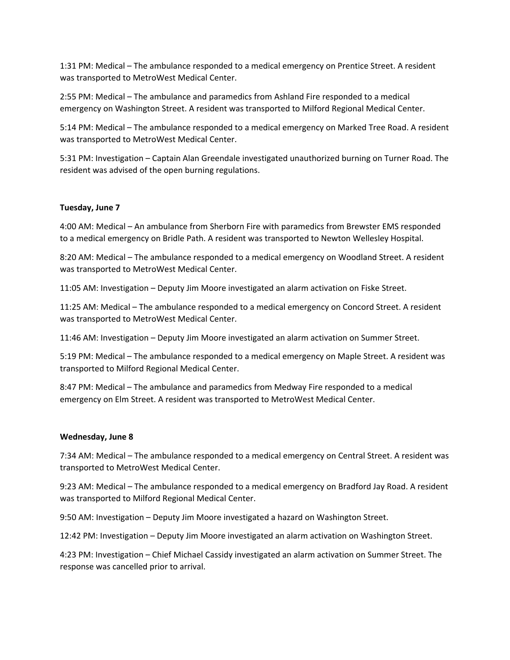1:31 PM: Medical – The ambulance responded to a medical emergency on Prentice Street. A resident was transported to MetroWest Medical Center.

2:55 PM: Medical – The ambulance and paramedics from Ashland Fire responded to a medical emergency on Washington Street. A resident was transported to Milford Regional Medical Center.

5:14 PM: Medical – The ambulance responded to a medical emergency on Marked Tree Road. A resident was transported to MetroWest Medical Center.

5:31 PM: Investigation – Captain Alan Greendale investigated unauthorized burning on Turner Road. The resident was advised of the open burning regulations.

# **Tuesday, June 7**

4:00 AM: Medical – An ambulance from Sherborn Fire with paramedics from Brewster EMS responded to a medical emergency on Bridle Path. A resident was transported to Newton Wellesley Hospital.

8:20 AM: Medical – The ambulance responded to a medical emergency on Woodland Street. A resident was transported to MetroWest Medical Center.

11:05 AM: Investigation – Deputy Jim Moore investigated an alarm activation on Fiske Street.

11:25 AM: Medical – The ambulance responded to a medical emergency on Concord Street. A resident was transported to MetroWest Medical Center.

11:46 AM: Investigation – Deputy Jim Moore investigated an alarm activation on Summer Street.

5:19 PM: Medical – The ambulance responded to a medical emergency on Maple Street. A resident was transported to Milford Regional Medical Center.

8:47 PM: Medical – The ambulance and paramedics from Medway Fire responded to a medical emergency on Elm Street. A resident was transported to MetroWest Medical Center.

# **Wednesday, June 8**

7:34 AM: Medical – The ambulance responded to a medical emergency on Central Street. A resident was transported to MetroWest Medical Center.

9:23 AM: Medical – The ambulance responded to a medical emergency on Bradford Jay Road. A resident was transported to Milford Regional Medical Center.

9:50 AM: Investigation – Deputy Jim Moore investigated a hazard on Washington Street.

12:42 PM: Investigation – Deputy Jim Moore investigated an alarm activation on Washington Street.

4:23 PM: Investigation – Chief Michael Cassidy investigated an alarm activation on Summer Street. The response was cancelled prior to arrival.